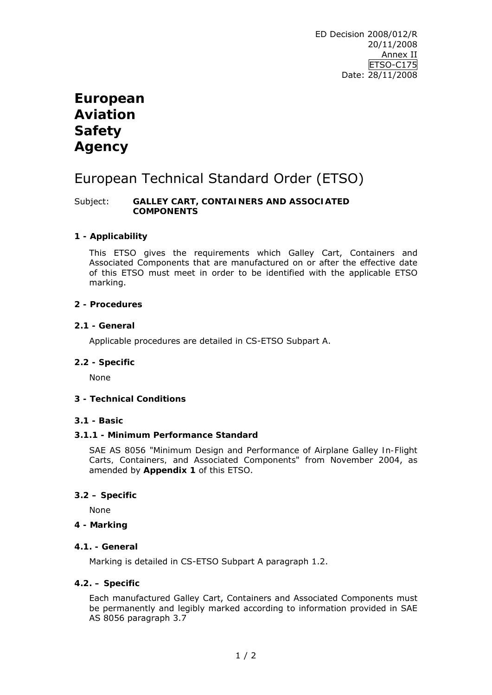# **European Aviation Safety Agency**

# European Technical Standard Order (ETSO)

#### Subject: **GALLEY CART, CONTAINERS AND ASSOCIATED COMPONENTS**

### **1 - Applicability**

This ETSO gives the requirements which Galley Cart, Containers and Associated Components that are manufactured on or after the effective date of this ETSO must meet in order to be identified with the applicable ETSO marking.

#### **2 - Procedures**

#### **2.1 - General**

Applicable procedures are detailed in CS-ETSO Subpart A.

#### **2.2 - Specific**

None

### **3 - Technical Conditions**

#### **3.1 - Basic**

#### **3.1.1 - Minimum Performance Standard**

SAE AS 8056 "*Minimum Design and Performance of Airplane Galley In-Flight Carts, Containers, and Associated Components*" from November 2004, as amended by **Appendix 1** of this ETSO.

#### **3.2 – Specific**

None

#### **4 - Marking**

#### **4.1. - General**

Marking is detailed in CS-ETSO Subpart A paragraph 1.2.

#### **4.2. – Specific**

Each manufactured Galley Cart, Containers and Associated Components must be permanently and legibly marked according to information provided in SAE AS 8056 paragraph 3.7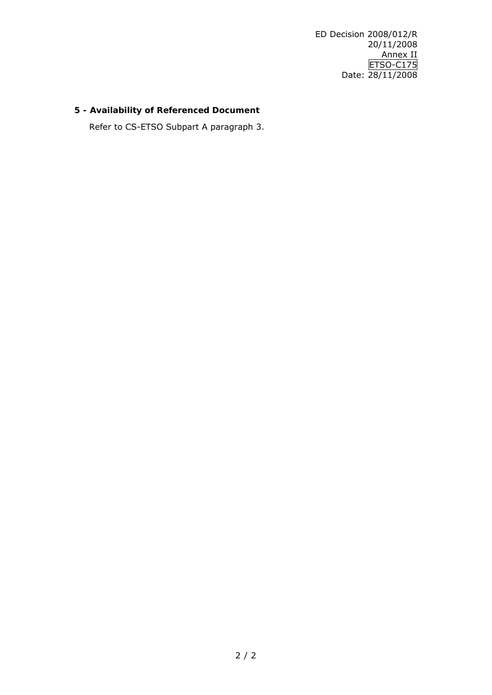ED Decision 2008/012/R 20/11/2008 Annex II ETSO-C175 Date: 28/11/2008

## **5 - Availability of Referenced Document**

Refer to CS-ETSO Subpart A paragraph 3.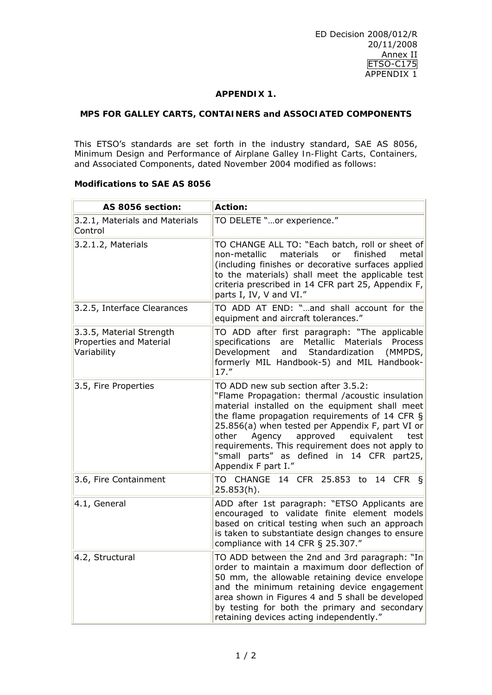#### **APPENDIX 1.**

#### **MPS FOR GALLEY CARTS, CONTAINERS and ASSOCIATED COMPONENTS**

This ETSO's standards are set forth in the industry standard, SAE AS 8056, *Minimum Design and Performance of Airplane Galley In-Flight Carts, Containers, and Associated Components*, dated November 2004 modified as follows:

#### **Modifications to SAE AS 8056**

| AS 8056 section:                                                   | Action:                                                                                                                                                                                                                                                                                                                                                                                                                       |
|--------------------------------------------------------------------|-------------------------------------------------------------------------------------------------------------------------------------------------------------------------------------------------------------------------------------------------------------------------------------------------------------------------------------------------------------------------------------------------------------------------------|
| 3.2.1, Materials and Materials<br>Control                          | TO DELETE "or experience."                                                                                                                                                                                                                                                                                                                                                                                                    |
| 3.2.1.2, Materials                                                 | TO CHANGE ALL TO: "Each batch, roll or sheet of<br>non-metallic<br>finished<br>materials<br>or<br>metal<br>(including finishes or decorative surfaces applied<br>to the materials) shall meet the applicable test<br>criteria prescribed in 14 CFR part 25, Appendix F,<br>parts I, IV, V and VI."                                                                                                                            |
| 3.2.5, Interface Clearances                                        | TO ADD AT END: "and shall account for the<br>equipment and aircraft tolerances."                                                                                                                                                                                                                                                                                                                                              |
| 3.3.5, Material Strength<br>Properties and Material<br>Variability | TO ADD after first paragraph: "The applicable<br>specifications are Metallic Materials Process<br>Development<br>and<br>Standardization<br>(MMPDS,<br>formerly MIL Handbook-5) and MIL Handbook-<br>$17.$ "                                                                                                                                                                                                                   |
| 3.5, Fire Properties                                               | TO ADD new sub section after 3.5.2:<br>"Flame Propagation: thermal /acoustic insulation<br>material installed on the equipment shall meet<br>the flame propagation requirements of 14 CFR §<br>25.856(a) when tested per Appendix F, part VI or<br>approved<br>other<br>Agency<br>equivalent<br>test<br>requirements. This requirement does not apply to<br>"small parts" as defined in 14 CFR part25,<br>Appendix F part I." |
| 3.6, Fire Containment                                              | TO CHANGE 14 CFR 25.853 to 14 CFR §<br>25.853(h).                                                                                                                                                                                                                                                                                                                                                                             |
| 4.1, General                                                       | ADD after 1st paragraph: "ETSO Applicants are<br>encouraged to validate finite element models<br>based on critical testing when such an approach<br>is taken to substantiate design changes to ensure<br>compliance with 14 CFR § 25.307."                                                                                                                                                                                    |
| 4.2, Structural                                                    | TO ADD between the 2nd and 3rd paragraph: "In<br>order to maintain a maximum door deflection of<br>50 mm, the allowable retaining device envelope<br>and the minimum retaining device engagement<br>area shown in Figures 4 and 5 shall be developed<br>by testing for both the primary and secondary<br>retaining devices acting independently."                                                                             |